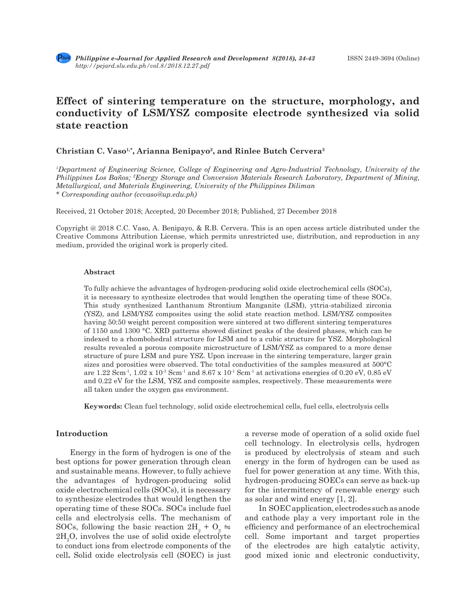# **Effect of sintering temperature on the structure, morphology, and conductivity of LSM/YSZ composite electrode synthesized via solid state reaction**

# **Christian C. Vaso1,\*, Arianna Benipayo2, and Rinlee Butch Cervera3**

*1 Department of Engineering Science, College of Engineering and Agro-Industrial Technology, University of the Philippines Los Baños; 2 Energy Storage and Conversion Materials Research Laboratory, Department of Mining, Metallurgical, and Materials Engineering, University of the Philippines Diliman \* Corresponding author (ccvaso@up.edu.ph)*

Received, 21 October 2018; Accepted, 20 December 2018; Published, 27 December 2018

Copyright @ 2018 C.C. Vaso, A. Benipayo, & R.B. Cervera. This is an open access article distributed under the Creative Commons Attribution License, which permits unrestricted use, distribution, and reproduction in any medium, provided the original work is properly cited.

#### **Abstract**

To fully achieve the advantages of hydrogen-producing solid oxide electrochemical cells (SOCs), it is necessary to synthesize electrodes that would lengthen the operating time of these SOCs. This study synthesized Lanthanum Strontium Manganite (LSM), yttria-stabilized zirconia (YSZ), and LSM/YSZ composites using the solid state reaction method. LSM/YSZ composites having 50:50 weight percent composition were sintered at two different sintering temperatures of 1150 and 1300 °C. XRD patterns showed distinct peaks of the desired phases, which can be indexed to a rhombohedral structure for LSM and to a cubic structure for YSZ. Morphological results revealed a porous composite microstructure of LSM/YSZ as compared to a more dense structure of pure LSM and pure YSZ. Upon increase in the sintering temperature, larger grain sizes and porosities were observed. The total conductivities of the samples measured at 500°C are 1.22 Scm<sup>-1</sup>,  $1.02 \times 10^{-3}$  Scm<sup>-1</sup> and  $8.67 \times 10^{-1}$  Scm<sup>-1</sup> at activations energies of 0.20 eV, 0.85 eV and 0.22 eV for the LSM, YSZ and composite samples, respectively. These measurements were all taken under the oxygen gas environment.

**Keywords:** Clean fuel technology, solid oxide electrochemical cells, fuel cells, electrolysis cells

# **Introduction**

Energy in the form of hydrogen is one of the best options for power generation through clean and sustainable means. However, to fully achieve the advantages of hydrogen-producing solid oxide electrochemical cells (SOCs), it is necessary to synthesize electrodes that would lengthen the operating time of these SOCs. SOCs include fuel cells and electrolysis cells. The mechanism of SOCs, following the basic reaction  $2H_2 + O_2 \approx$  $2H_2O$ , involves the use of solid oxide electrolyte to conduct ions from electrode components of the cell**.** Solid oxide electrolysis cell (SOEC) is just

a reverse mode of operation of a solid oxide fuel cell technology. In electrolysis cells, hydrogen is produced by electrolysis of steam and such energy in the form of hydrogen can be used as fuel for power generation at any time. With this, hydrogen-producing SOECs can serve as back-up for the intermittency of renewable energy such as solar and wind energy [1, 2].

In SOEC application, electrodes such as anode and cathode play a very important role in the efficiency and performance of an electrochemical cell. Some important and target properties of the electrodes are high catalytic activity, good mixed ionic and electronic conductivity,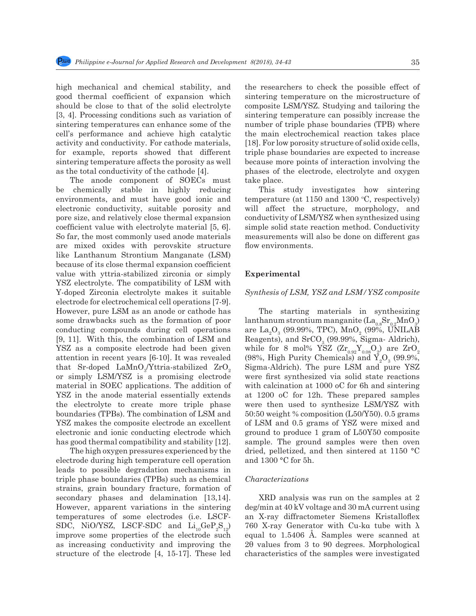high mechanical and chemical stability, and good thermal coefficient of expansion which should be close to that of the solid electrolyte [3, 4]. Processing conditions such as variation of sintering temperatures can enhance some of the cell's performance and achieve high catalytic activity and conductivity. For cathode materials, for example, reports showed that different sintering temperature affects the porosity as well as the total conductivity of the cathode [4].

The anode component of SOECs must be chemically stable in highly reducing environments, and must have good ionic and electronic conductivity, suitable porosity and pore size, and relatively close thermal expansion coefficient value with electrolyte material [5, 6]. So far, the most commonly used anode materials are mixed oxides with perovskite structure like Lanthanum Strontium Manganate (LSM) because of its close thermal expansion coefficient value with yttria-stabilized zirconia or simply YSZ electrolyte. The compatibility of LSM with Y-doped Zirconia electrolyte makes it suitable electrode for electrochemical cell operations [7-9]. However, pure LSM as an anode or cathode has some drawbacks such as the formation of poor conducting compounds during cell operations [9, 11]. With this, the combination of LSM and YSZ as a composite electrode had been given attention in recent years [6-10]. It was revealed that Sr-doped LaMnO<sub>3</sub>/Yttria-stabilized  $\rm ZrO_{2}$ or simply LSM/YSZ is a promising electrode material in SOEC applications. The addition of YSZ in the anode material essentially extends the electrolyte to create more triple phase boundaries (TPBs). The combination of LSM and YSZ makes the composite electrode an excellent electronic and ionic conducting electrode which has good thermal compatibility and stability [12].

The high oxygen pressures experienced by the electrode during high temperature cell operation leads to possible degradation mechanisms in triple phase boundaries (TPBs) such as chemical strains, grain boundary fracture, formation of secondary phases and delamination [13,14]. However, apparent variations in the sintering temperatures of some electrodes (i.e. LSCF-SDC, NiO/YSZ, LSCF-SDC and  $Li_{10}GeP_2S_{12}$ ) improve some properties of the electrode such as increasing conductivity and improving the structure of the electrode [4, 15-17]. These led

the researchers to check the possible effect of sintering temperature on the microstructure of composite LSM/YSZ. Studying and tailoring the sintering temperature can possibly increase the number of triple phase boundaries (TPB) where the main electrochemical reaction takes place [18]. For low porosity structure of solid oxide cells, triple phase boundaries are expected to increase because more points of interaction involving the phases of the electrode, electrolyte and oxygen take place.

This study investigates how sintering temperature (at  $1150$  and  $1300$  °C, respectively) will affect the structure, morphology, and conductivity of LSM/YSZ when synthesized using simple solid state reaction method. Conductivity measurements will also be done on different gas flow environments.

# **Experimental**

#### *Synthesis of LSM, YSZ and LSM/YSZ composite*

The starting materials in synthesizing lanthanum strontium manganite ( $\text{La}_{0.8}\text{Sr}_{0.2}\text{MnO}_3$ ) are  $\text{La}_2\text{O}_3$  (99.99%, TPC),  $\text{MnO}_2$  (99%, UNILAB Reagents), and  $\text{SrCO}_3$  (99.99%, Sigma- Aldrich), while for 8 mol% YSZ ( $\mathrm{Zr}_{_{0.92}}\mathrm{Y}_{_{0.08}}\mathrm{O}_2$ ) are  $\mathrm{ZrO}_2$ (98%, High Purity Chemicals) and  $Y_2O_3$  (99.9%, Sigma-Aldrich). The pure LSM and pure YSZ were first synthesized via solid state reactions with calcination at 1000 oC for 6h and sintering at 1200 oC for 12h. These prepared samples were then used to synthesize LSM/YSZ with 50:50 weight % composition (L50/Y50). 0.5 grams of LSM and 0.5 grams of YSZ were mixed and ground to produce 1 gram of L50Y50 composite sample. The ground samples were then oven dried, pelletized, and then sintered at 1150 °C and 1300 °C for 5h.

#### *Characterizations*

XRD analysis was run on the samples at 2 deg/min at 40 kV voltage and 30 mA current using an X-ray diffractometer Siemens Kristalloflex 760 X-ray Generator with Cu-kα tube with λ equal to 1.5406 Å. Samples were scanned at 2θ values from 3 to 90 degrees. Morphological characteristics of the samples were investigated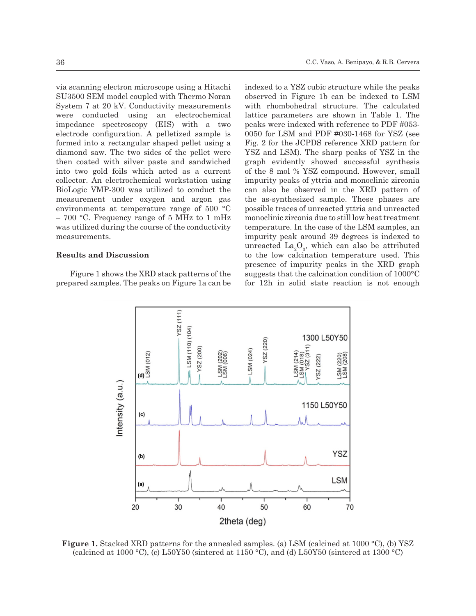via scanning electron microscope using a Hitachi SU3500 SEM model coupled with Thermo Noran System 7 at 20 kV. Conductivity measurements were conducted using an electrochemical impedance spectroscopy (EIS) with a two electrode configuration. A pelletized sample is formed into a rectangular shaped pellet using a diamond saw. The two sides of the pellet were then coated with silver paste and sandwiched into two gold foils which acted as a current collector. An electrochemical workstation using BioLogic VMP-300 was utilized to conduct the measurement under oxygen and argon gas environments at temperature range of 500 °C – 700 °C. Frequency range of 5 MHz to 1 mHz was utilized during the course of the conductivity measurements.

# **Results and Discussion**

Figure 1 shows the XRD stack patterns of the prepared samples. The peaks on Figure 1a can be indexed to a YSZ cubic structure while the peaks observed in Figure 1b can be indexed to LSM with rhombohedral structure. The calculated lattice parameters are shown in Table 1. The peaks were indexed with reference to PDF #053- 0050 for LSM and PDF #030-1468 for YSZ (see Fig. 2 for the JCPDS reference XRD pattern for YSZ and LSM). The sharp peaks of YSZ in the graph evidently showed successful synthesis of the 8 mol % YSZ compound. However, small impurity peaks of yttria and monoclinic zirconia can also be observed in the XRD pattern of the as-synthesized sample. These phases are possible traces of unreacted yttria and unreacted monoclinic zirconia due to still low heat treatment temperature. In the case of the LSM samples, an impurity peak around 39 degrees is indexed to unreacted  $\text{La}_2\text{O}_3$ , which can also be attributed to the low calcination temperature used. This presence of impurity peaks in the XRD graph suggests that the calcination condition of 1000°C for 12h in solid state reaction is not enough



**Figure 1.** Stacked XRD patterns for the annealed samples. (a) LSM (calcined at 1000 °C), (b) YSZ (calcined at 1000 °C), (c) L50Y50 (sintered at 1150 °C), and (d) L50Y50 (sintered at 1300 °C)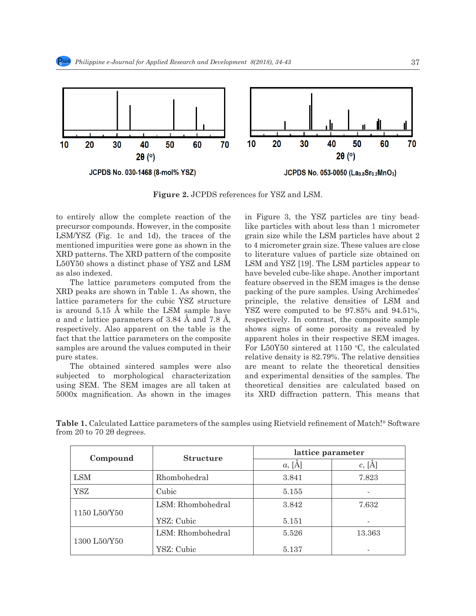

**Figure 2.** JCPDS references for YSZ and LSM.

to entirely allow the complete reaction of the precursor compounds. However, in the composite LSM/YSZ (Fig. 1c and 1d), the traces of the mentioned impurities were gone as shown in the XRD patterns. The XRD pattern of the composite L50Y50 shows a distinct phase of YSZ and LSM as also indexed.

The lattice parameters computed from the XRD peaks are shown in Table 1. As shown, the lattice parameters for the cubic YSZ structure is around 5.15 Å while the LSM sample have *a* and *c* lattice parameters of 3.84 Å and 7.8 Å, respectively. Also apparent on the table is the fact that the lattice parameters on the composite samples are around the values computed in their pure states.

The obtained sintered samples were also subjected to morphological characterization using SEM. The SEM images are all taken at 5000x magnification. As shown in the images in Figure 3, the YSZ particles are tiny beadlike particles with about less than 1 micrometer grain size while the LSM particles have about 2 to 4 micrometer grain size. These values are close to literature values of particle size obtained on LSM and YSZ [19]. The LSM particles appear to have beveled cube-like shape. Another important feature observed in the SEM images is the dense packing of the pure samples. Using Archimedes' principle, the relative densities of LSM and YSZ were computed to be 97.85% and 94.51%, respectively. In contrast, the composite sample shows signs of some porosity as revealed by apparent holes in their respective SEM images. For  $L50Y50$  sintered at 1150 °C, the calculated relative density is 82.79%. The relative densities are meant to relate the theoretical densities and experimental densities of the samples. The theoretical densities are calculated based on its XRD diffraction pattern. This means that

| Compound     | <b>Structure</b>  | lattice parameter |            |
|--------------|-------------------|-------------------|------------|
|              |                   | $a, [\AA]$        | $c, [\AA]$ |
| <b>LSM</b>   | Rhombohedral      | 3.841             | 7.823      |
| YSZ          | Cubic             | 5.155             |            |
| 1150 L50/Y50 | LSM: Rhombohedral | 3.842             | 7.632      |
|              | YSZ: Cubic        | 5.151             |            |
| 1300 L50/Y50 | LSM: Rhombohedral | 5.526             | 13.363     |
|              | YSZ: Cubic        | 5.137             |            |

**Table 1.** Calculated Lattice parameters of the samples using Rietvield refinement of Match!® Software from 20 to 70 2θ degrees.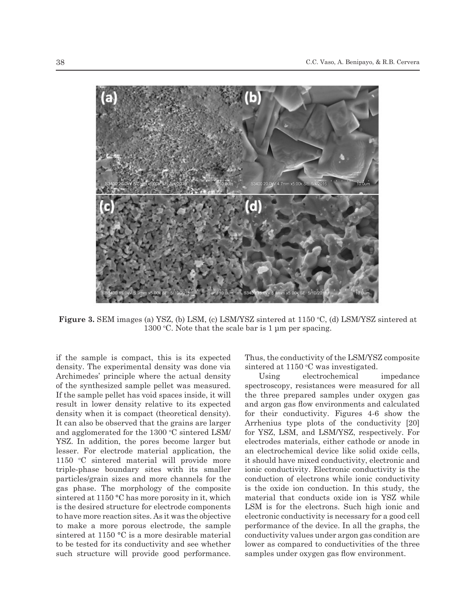

**Figure 3.** SEM images (a) YSZ, (b) LSM, (c) LSM/YSZ sintered at 1150 °C, (d) LSM/YSZ sintered at  $1300$  °C. Note that the scale bar is 1 µm per spacing.

if the sample is compact, this is its expected density. The experimental density was done via Archimedes' principle where the actual density of the synthesized sample pellet was measured. If the sample pellet has void spaces inside, it will result in lower density relative to its expected density when it is compact (theoretical density). It can also be observed that the grains are larger and agglomerated for the 1300 °C sintered LSM/ YSZ. In addition, the pores become larger but lesser. For electrode material application, the 1150 °C sintered material will provide more triple-phase boundary sites with its smaller particles/grain sizes and more channels for the gas phase. The morphology of the composite sintered at 1150 °C has more porosity in it, which is the desired structure for electrode components to have more reaction sites. As it was the objective to make a more porous electrode, the sample sintered at 1150 °C is a more desirable material to be tested for its conductivity and see whether such structure will provide good performance.

Thus, the conductivity of the LSM/YSZ composite sintered at 1150 °C was investigated.

Using electrochemical impedance spectroscopy, resistances were measured for all the three prepared samples under oxygen gas and argon gas flow environments and calculated for their conductivity. Figures 4-6 show the Arrhenius type plots of the conductivity [20] for YSZ, LSM, and LSM/YSZ, respectively. For electrodes materials, either cathode or anode in an electrochemical device like solid oxide cells, it should have mixed conductivity, electronic and ionic conductivity. Electronic conductivity is the conduction of electrons while ionic conductivity is the oxide ion conduction. In this study, the material that conducts oxide ion is YSZ while LSM is for the electrons. Such high ionic and electronic conductivity is necessary for a good cell performance of the device. In all the graphs, the conductivity values under argon gas condition are lower as compared to conductivities of the three samples under oxygen gas flow environment.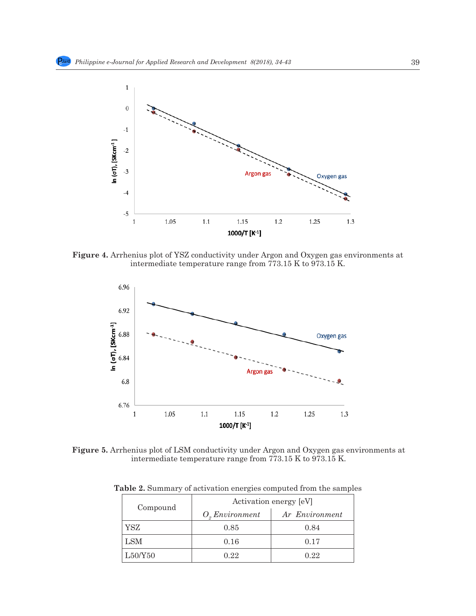

**Figure 4.** Arrhenius plot of YSZ conductivity under Argon and Oxygen gas environments at intermediate temperature range from 773.15 K to 973.15 K.



**Figure 5.** Arrhenius plot of LSM conductivity under Argon and Oxygen gas environments at intermediate temperature range from 773.15 K to 973.15 K.

| Compound | Activation energy [eV] |                |  |
|----------|------------------------|----------------|--|
|          | O, Environment         | Ar Environment |  |
| YSZ      | 0.85                   | 0.84           |  |
| LSM      | 0.16                   | 0.17           |  |
| L50/Y50  | 0.22                   | 0.22           |  |

**Table 2.** Summary of activation energies computed from the samples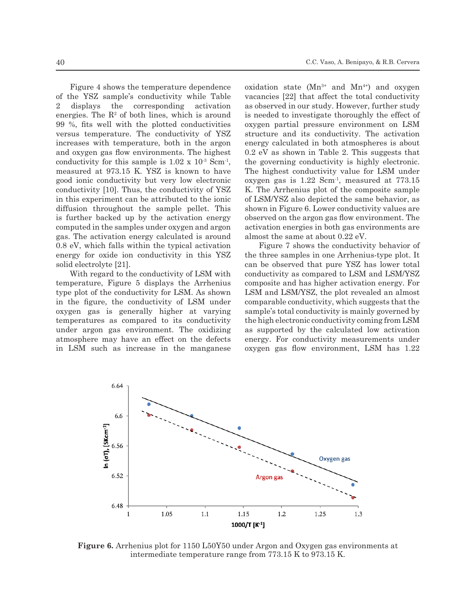Figure 4 shows the temperature dependence of the YSZ sample's conductivity while Table 2 displays the corresponding activation energies. The  $\mathbb{R}^2$  of both lines, which is around 99 %, fits well with the plotted conductivities versus temperature. The conductivity of YSZ increases with temperature, both in the argon and oxygen gas flow environments. The highest conductivity for this sample is  $1.02 \times 10^{3}$  Scm<sup>-1</sup>, measured at 973.15 K. YSZ is known to have good ionic conductivity but very low electronic conductivity [10]. Thus, the conductivity of YSZ in this experiment can be attributed to the ionic diffusion throughout the sample pellet. This is further backed up by the activation energy computed in the samples under oxygen and argon gas. The activation energy calculated is around 0.8 eV, which falls within the typical activation energy for oxide ion conductivity in this YSZ solid electrolyte [21].

With regard to the conductivity of LSM with temperature, Figure 5 displays the Arrhenius type plot of the conductivity for LSM. As shown in the figure, the conductivity of LSM under oxygen gas is generally higher at varying temperatures as compared to its conductivity under argon gas environment. The oxidizing atmosphere may have an effect on the defects in LSM such as increase in the manganese oxidation state  $(Mn^{3+}$  and  $Mn^{4+})$  and oxygen vacancies [22] that affect the total conductivity as observed in our study. However, further study is needed to investigate thoroughly the effect of oxygen partial pressure environment on LSM structure and its conductivity. The activation energy calculated in both atmospheres is about 0.2 eV as shown in Table 2. This suggests that the governing conductivity is highly electronic. The highest conductivity value for LSM under oxygen gas is 1.22 Scm-1, measured at 773.15 K. The Arrhenius plot of the composite sample of LSM/YSZ also depicted the same behavior, as shown in Figure 6. Lower conductivity values are observed on the argon gas flow environment. The activation energies in both gas environments are almost the same at about 0.22 eV.

Figure 7 shows the conductivity behavior of the three samples in one Arrhenius-type plot. It can be observed that pure YSZ has lower total conductivity as compared to LSM and LSM/YSZ composite and has higher activation energy. For LSM and LSM/YSZ, the plot revealed an almost comparable conductivity, which suggests that the sample's total conductivity is mainly governed by the high electronic conductivity coming from LSM as supported by the calculated low activation energy. For conductivity measurements under oxygen gas flow environment, LSM has 1.22



**Figure 6.** Arrhenius plot for 1150 L50Y50 under Argon and Oxygen gas environments at intermediate temperature range from 773.15 K to 973.15 K.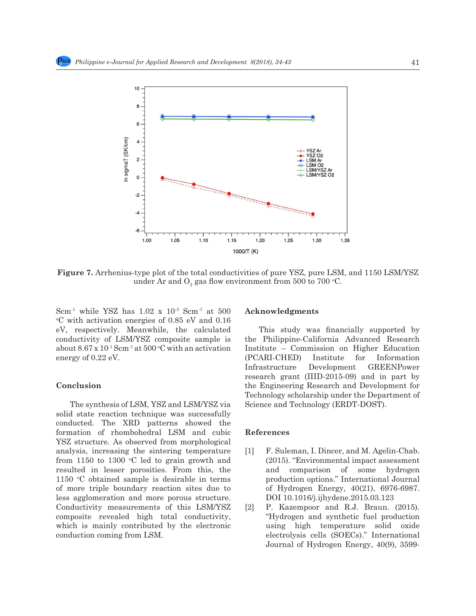

**Figure 7.** Arrhenius-type plot of the total conductivities of pure YSZ, pure LSM, and 1150 LSM/YSZ under Ar and  $\text{O}_2$  gas flow environment from  $500$  to  $700$  °C.

Scm<sup>-1</sup> while YSZ has  $1.02 \times 10^{-3}$  Scm<sup>-1</sup> at 500 C with activation energies of 0.85 eV and 0.16 eV, respectively. Meanwhile, the calculated conductivity of LSM/YSZ composite sample is about  $8.67 \times 10^{-1}$  Scm<sup>-1</sup> at  $500 \,^{\circ}$ C with an activation energy of 0.22 eV.

#### **Conclusion**

The synthesis of LSM, YSZ and LSM/YSZ via solid state reaction technique was successfully conducted. The XRD patterns showed the formation of rhombohedral LSM and cubic YSZ structure. As observed from morphological analysis, increasing the sintering temperature from  $1150$  to  $1300$  °C led to grain growth and resulted in lesser porosities. From this, the 1150 °C obtained sample is desirable in terms of more triple boundary reaction sites due to less agglomeration and more porous structure. Conductivity measurements of this LSM/YSZ composite revealed high total conductivity, which is mainly contributed by the electronic conduction coming from LSM.

# **Acknowledgments**

This study was financially supported by the Philippine-California Advanced Research Institute – Commission on Higher Education (PCARI-CHED) Institute for Information Infrastructure Development GREENPower research grant (IIID-2015-09) and in part by the Engineering Research and Development for Technology scholarship under the Department of Science and Technology (ERDT-DOST).

### **References**

- [1] F. Suleman, I. Dincer, and M. Agelin-Chab. (2015). "Environmental impact assessment and comparison of some hydrogen production options." International Journal of Hydrogen Energy, 40(21), 6976-6987. DOI 10.1016/j.ijhydene.2015.03.123
- [2] P. Kazempoor and R.J. Braun. (2015). "Hydrogen and synthetic fuel production using high temperature solid oxide electrolysis cells (SOECs)." International Journal of Hydrogen Energy, 40(9), 3599-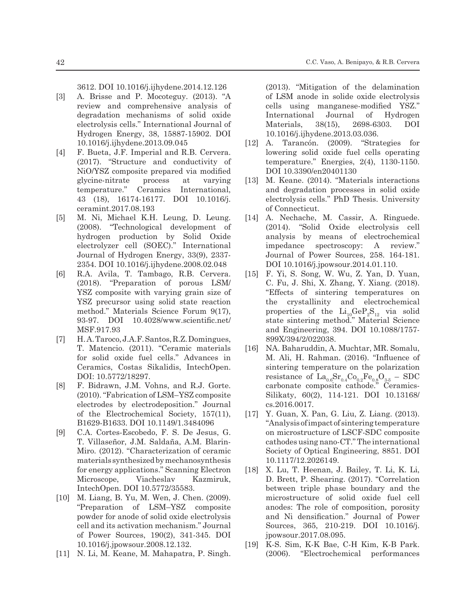3612. DOI 10.1016/j.ijhydene.2014.12.126

- [3] A. Brisse and P. Mocoteguy. (2013). "A review and comprehensive analysis of degradation mechanisms of solid oxide electrolysis cells." International Journal of Hydrogen Energy, 38, 15887-15902. DOI 10.1016/j.ijhydene.2013.09.045
- [4] F. Bueta, J.F. Imperial and R.B. Cervera. (2017). "Structure and conductivity of NiO/YSZ composite prepared via modified glycine-nitrate process at varying temperature." Ceramics International, 43 (18), 16174-16177. DOI 10.1016/j. ceramint.2017.08.193
- [5] M. Ni, Michael K.H. Leung, D. Leung. (2008). "Technological development of hydrogen production by Solid Oxide electrolyzer cell (SOEC)." International Journal of Hydrogen Energy, 33(9), 2337- 2354. DOI 10.1016/j.ijhydene.2008.02.048
- [6] R.A. Avila, T. Tambago, R.B. Cervera. (2018). "Preparation of porous LSM/ YSZ composite with varying grain size of YSZ precursor using solid state reaction method." Materials Science Forum 9(17), 93-97. DOI 10.4028/www.scientific.net/ MSF.917.93
- [7] H. A. Taroco, J.A.F. Santos, R.Z. Domingues, T. Matencio. (2011). "Ceramic materials for solid oxide fuel cells." Advances in Ceramics, Costas Sikalidis, IntechOpen. DOI: 10.5772/18297.
- [8] F. Bidrawn, J.M. Vohns, and R.J. Gorte. (2010). "Fabrication of LSM–YSZ composite electrodes by electrodeposition." Journal of the Electrochemical Society, 157(11), B1629-B1633. DOI 10.1149/1.3484096
- [9] C.A. Cortes-Escobedo, F. S. De Jesus, G. T. Villaseñor, J.M. Saldaña, A.M. Blarin-Miro. (2012). "Characterization of ceramic materials synthesized by mechanosynthesis for energy applications." Scanning Electron Microscope, Viacheslav Kazmiruk, IntechOpen. DOI 10.5772/35583.
- [10] M. Liang, B. Yu, M. Wen, J. Chen. (2009). "Preparation of LSM–YSZ composite powder for anode of solid oxide electrolysis cell and its activation mechanism." Journal of Power Sources, 190(2), 341-345. DOI 10.1016/j.jpowsour.2008.12.132.
- [11] N. Li, M. Keane, M. Mahapatra, P. Singh.

(2013). "Mitigation of the delamination of LSM anode in solide oxide electrolysis cells using manganese-modified YSZ." International Journal of Hydrogen Materials, 38(15), 2698-6303. DOI 10.1016/j.ijhydene.2013.03.036.

- [12] A. Tarancón. (2009). "Strategies for lowering solid oxide fuel cells operating temperature." Energies, 2(4), 1130-1150. DOI 10.3390/en20401130
- [13] M. Keane. (2014). "Materials interactions and degradation processes in solid oxide electrolysis cells." PhD Thesis. University of Connecticut.
- [14] A. Nechache, M. Cassir, A. Ringuede. (2014). "Solid Oxide electrolysis cell analysis by means of electrochemical impedance spectroscopy: A review." Journal of Power Sources, 258. 164-181. DOI 10.1016/j.jpowsour.2014.01.110.
- [15] F. Yi, S. Song, W. Wu, Z. Yan, D. Yuan, C. Fu, J. Shi, X. Zhang, Y. Xiang. (2018). "Effects of sintering temperatures on the crystallinity and electrochemical properties of the  $Li_{10}GeP_2S_{12}$  via solid state sintering method." Material Science and Engineering, 394. DOI 10.1088/1757- 899X/394/2/022038.
- [16] NA. Baharuddin, A. Muchtar, MR. Somalu, M. Ali, H. Rahman. (2016). "Influence of sintering temperature on the polarization resistance of  $\text{La}_{0.6}\text{Sr}_{0.4}\text{Co}_{0.2}\text{Fe}_{0.8}\text{O}_{3.6} - \text{SDC}$ carbonate composite cathode." Ceramics-Silikaty, 60(2), 114-121. DOI 10.13168/ cs.2016.0017.
- [17] Y. Guan, X. Pan, G. Liu, Z. Liang. (2013). "Analysis of impact of sintering temperature on microstructure of LSCF-SDC composite cathodes using nano-CT." The international Society of Optical Engineering, 8851. DOI 10.1117/12.2026149.
- [18] X. Lu, T. Heenan, J. Bailey, T. Li, K. Li, D. Brett, P. Shearing. (2017). "Correlation between triple phase boundary and the microstructure of solid oxide fuel cell anodes: The role of composition, porosity and Ni densification." Journal of Power Sources, 365, 210-219. DOI 10.1016/j. jpowsour.2017.08.095.
- [19] K-S. Sim, K-K Bae, C-H Kim, K-B Park. (2006). "Electrochemical performances